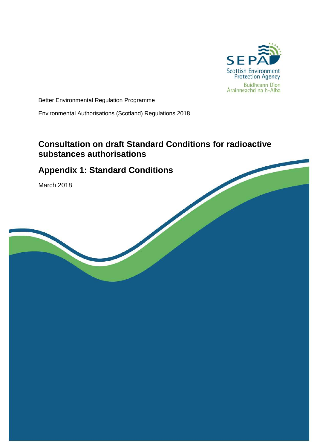

Better Environmental Regulation Programme

Environmental Authorisations (Scotland) Regulations 2018

## **Consultation on draft Standard Conditions for radioactive substances authorisations**

# **Appendix 1: Standard Conditions**

March 2018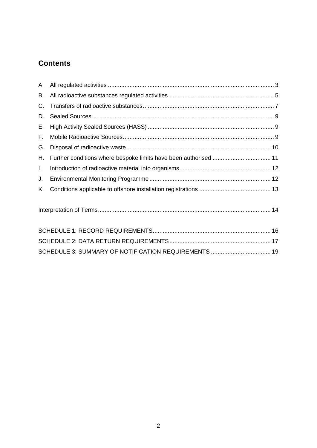# **Contents**

| А. |                                                                  |  |
|----|------------------------------------------------------------------|--|
| В. |                                                                  |  |
| С. |                                                                  |  |
| D. |                                                                  |  |
| Е. |                                                                  |  |
| F. |                                                                  |  |
| G. |                                                                  |  |
| Η. | Further conditions where bespoke limits have been authorised  11 |  |
| Ι. |                                                                  |  |
| J. |                                                                  |  |
| Κ. |                                                                  |  |
|    |                                                                  |  |
|    |                                                                  |  |
|    |                                                                  |  |
|    | SCHEDULE 3: SUMMARY OF NOTIFICATION REQUIREMENTS  19             |  |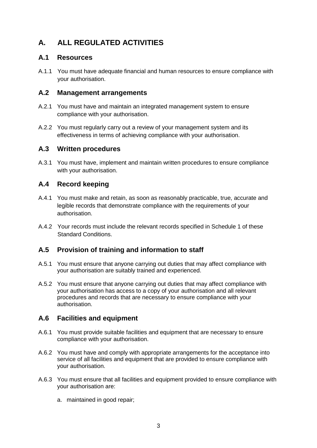## <span id="page-2-0"></span>**A. ALL REGULATED ACTIVITIES**

#### **A.1 Resources**

A.1.1 You must have adequate financial and human resources to ensure compliance with your authorisation.

#### **A.2 Management arrangements**

- A.2.1 You must have and maintain an integrated management system to ensure compliance with your authorisation.
- A.2.2 You must regularly carry out a review of your management system and its effectiveness in terms of achieving compliance with your authorisation.

#### **A.3 Written procedures**

A.3.1 You must have, implement and maintain written procedures to ensure compliance with your authorisation.

#### **A.4 Record keeping**

- A.4.1 You must make and retain, as soon as reasonably practicable, true, accurate and legible records that demonstrate compliance with the requirements of your authorisation.
- A.4.2 Your records must include the relevant records specified in Schedule 1 of these Standard Conditions.

#### **A.5 Provision of training and information to staff**

- A.5.1 You must ensure that anyone carrying out duties that may affect compliance with your authorisation are suitably trained and experienced.
- A.5.2 You must ensure that anyone carrying out duties that may affect compliance with your authorisation has access to a copy of your authorisation and all relevant procedures and records that are necessary to ensure compliance with your authorisation.

#### **A.6 Facilities and equipment**

- A.6.1 You must provide suitable facilities and equipment that are necessary to ensure compliance with your authorisation.
- A.6.2 You must have and comply with appropriate arrangements for the acceptance into service of all facilities and equipment that are provided to ensure compliance with your authorisation.
- A.6.3 You must ensure that all facilities and equipment provided to ensure compliance with your authorisation are:
	- a. maintained in good repair;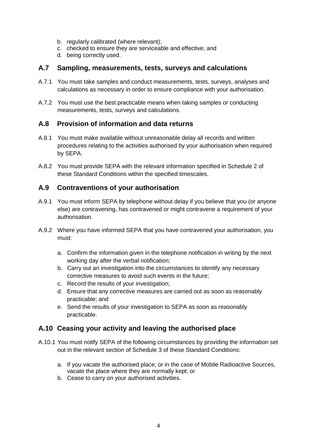- b. regularly calibrated (where relevant);
- c. checked to ensure they are serviceable and effective; and
- d. being correctly used.

#### **A.7 Sampling, measurements, tests, surveys and calculations**

- A.7.1 You must take samples and conduct measurements, tests, surveys, analyses and calculations as necessary in order to ensure compliance with your authorisation.
- A.7.2 You must use the best practicable means when taking samples or conducting measurements, tests, surveys and calculations.

#### **A.8 Provision of information and data returns**

- A.8.1 You must make available without unreasonable delay all records and written procedures relating to the activities authorised by your authorisation when required by SEPA.
- A.8.2 You must provide SEPA with the relevant information specified in Schedule 2 of these Standard Conditions within the specified timescales.

#### **A.9 Contraventions of your authorisation**

- A.9.1 You must inform SEPA by telephone without delay if you believe that you (or anyone else) are contravening, has contravened or might contravene a requirement of your authorisation.
- A.9.2 Where you have informed SEPA that you have contravened your authorisation, you must:
	- a. Confirm the information given in the telephone notification in writing by the next working day after the verbal notification;
	- b. Carry out an investigation into the circumstances to identify any necessary corrective measures to avoid such events in the future;
	- c. Record the results of your investigation;
	- d. Ensure that any corrective measures are carried out as soon as reasonably practicable; and
	- e. Send the results of your investigation to SEPA as soon as reasonably practicable.

#### **A.10 Ceasing your activity and leaving the authorised place**

- A.10.1 You must notify SEPA of the following circumstances by providing the information set out in the relevant section of Schedule 3 of these Standard Conditions:
	- a. If you vacate the authorised place, or in the case of Mobile Radioactive Sources, vacate the place where they are normally kept; or
	- b. Cease to carry on your authorised activities.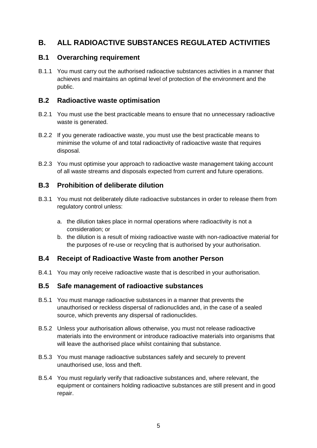## <span id="page-4-0"></span>**B. ALL RADIOACTIVE SUBSTANCES REGULATED ACTIVITIES**

#### **B.1 Overarching requirement**

B.1.1 You must carry out the authorised radioactive substances activities in a manner that achieves and maintains an optimal level of protection of the environment and the public.

#### **B.2 Radioactive waste optimisation**

- B.2.1 You must use the best practicable means to ensure that no unnecessary radioactive waste is generated.
- B.2.2 If you generate radioactive waste, you must use the best practicable means to minimise the volume of and total radioactivity of radioactive waste that requires disposal.
- B.2.3 You must optimise your approach to radioactive waste management taking account of all waste streams and disposals expected from current and future operations.

#### **B.3 Prohibition of deliberate dilution**

- B.3.1 You must not deliberately dilute radioactive substances in order to release them from regulatory control unless:
	- a. the dilution takes place in normal operations where radioactivity is not a consideration; or
	- b. the dilution is a result of mixing radioactive waste with non-radioactive material for the purposes of re-use or recycling that is authorised by your authorisation.

#### **B.4 Receipt of Radioactive Waste from another Person**

B.4.1 You may only receive radioactive waste that is described in your authorisation.

#### **B.5 Safe management of radioactive substances**

- B.5.1 You must manage radioactive substances in a manner that prevents the unauthorised or reckless dispersal of radionuclides and, in the case of a sealed source, which prevents any dispersal of radionuclides.
- B.5.2 Unless your authorisation allows otherwise, you must not release radioactive materials into the environment or introduce radioactive materials into organisms that will leave the authorised place whilst containing that substance.
- B.5.3 You must manage radioactive substances safely and securely to prevent unauthorised use, loss and theft.
- B.5.4 You must regularly verify that radioactive substances and, where relevant, the equipment or containers holding radioactive substances are still present and in good repair.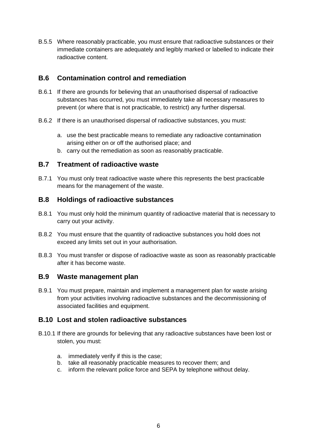B.5.5 Where reasonably practicable, you must ensure that radioactive substances or their immediate containers are adequately and legibly marked or labelled to indicate their radioactive content.

#### **B.6 Contamination control and remediation**

- B.6.1 If there are grounds for believing that an unauthorised dispersal of radioactive substances has occurred, you must immediately take all necessary measures to prevent (or where that is not practicable, to restrict) any further dispersal.
- B.6.2 If there is an unauthorised dispersal of radioactive substances, you must:
	- a. use the best practicable means to remediate any radioactive contamination arising either on or off the authorised place; and
	- b. carry out the remediation as soon as reasonably practicable.

#### **B.7 Treatment of radioactive waste**

B.7.1 You must only treat radioactive waste where this represents the best practicable means for the management of the waste.

#### **B.8 Holdings of radioactive substances**

- B.8.1 You must only hold the minimum quantity of radioactive material that is necessary to carry out your activity.
- B.8.2 You must ensure that the quantity of radioactive substances you hold does not exceed any limits set out in your authorisation.
- B.8.3 You must transfer or dispose of radioactive waste as soon as reasonably practicable after it has become waste.

#### **B.9 Waste management plan**

B.9.1 You must prepare, maintain and implement a management plan for waste arising from your activities involving radioactive substances and the decommissioning of associated facilities and equipment.

#### **B.10 Lost and stolen radioactive substances**

- B.10.1 If there are grounds for believing that any radioactive substances have been lost or stolen, you must:
	- a. immediately verify if this is the case;
	- b. take all reasonably practicable measures to recover them; and
	- c. inform the relevant police force and SEPA by telephone without delay.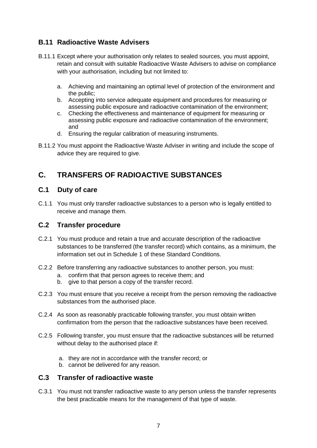### **B.11 Radioactive Waste Advisers**

- B.11.1 Except where your authorisation only relates to sealed sources, you must appoint, retain and consult with suitable Radioactive Waste Advisers to advise on compliance with your authorisation, including but not limited to:
	- a. Achieving and maintaining an optimal level of protection of the environment and the public;
	- b. Accepting into service adequate equipment and procedures for measuring or assessing public exposure and radioactive contamination of the environment;
	- c. Checking the effectiveness and maintenance of equipment for measuring or assessing public exposure and radioactive contamination of the environment; and
	- d. Ensuring the regular calibration of measuring instruments.
- B.11.2 You must appoint the Radioactive Waste Adviser in writing and include the scope of advice they are required to give.

## <span id="page-6-0"></span>**C. TRANSFERS OF RADIOACTIVE SUBSTANCES**

### **C.1 Duty of care**

C.1.1 You must only transfer radioactive substances to a person who is legally entitled to receive and manage them.

#### **C.2 Transfer procedure**

- C.2.1 You must produce and retain a true and accurate description of the radioactive substances to be transferred (the transfer record) which contains, as a minimum, the information set out in Schedule 1 of these Standard Conditions.
- C.2.2 Before transferring any radioactive substances to another person, you must:
	- a. confirm that that person agrees to receive them; and
	- b. give to that person a copy of the transfer record.
- C.2.3 You must ensure that you receive a receipt from the person removing the radioactive substances from the authorised place.
- C.2.4 As soon as reasonably practicable following transfer, you must obtain written confirmation from the person that the radioactive substances have been received.
- C.2.5 Following transfer, you must ensure that the radioactive substances will be returned without delay to the authorised place if:
	- a. they are not in accordance with the transfer record; or
	- b. cannot be delivered for any reason.

#### **C.3 Transfer of radioactive waste**

C.3.1 You must not transfer radioactive waste to any person unless the transfer represents the best practicable means for the management of that type of waste.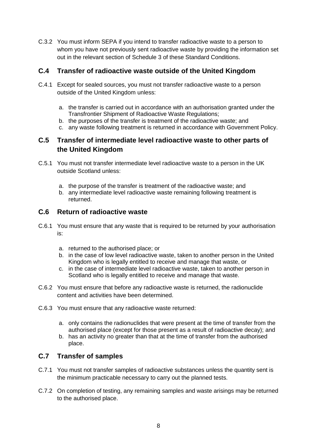C.3.2 You must inform SEPA if you intend to transfer radioactive waste to a person to whom you have not previously sent radioactive waste by providing the information set out in the relevant section of Schedule 3 of these Standard Conditions.

#### **C.4 Transfer of radioactive waste outside of the United Kingdom**

- C.4.1 Except for sealed sources, you must not transfer radioactive waste to a person outside of the United Kingdom unless:
	- a. the transfer is carried out in accordance with an authorisation granted under the Transfrontier Shipment of Radioactive Waste Regulations;
	- b. the purposes of the transfer is treatment of the radioactive waste; and
	- c. any waste following treatment is returned in accordance with Government Policy.

#### **C.5 Transfer of intermediate level radioactive waste to other parts of the United Kingdom**

- C.5.1 You must not transfer intermediate level radioactive waste to a person in the UK outside Scotland unless:
	- a. the purpose of the transfer is treatment of the radioactive waste; and
	- b. any intermediate level radioactive waste remaining following treatment is returned.

#### **C.6 Return of radioactive waste**

- C.6.1 You must ensure that any waste that is required to be returned by your authorisation is:
	- a. returned to the authorised place; or
	- b. in the case of low level radioactive waste, taken to another person in the United Kingdom who is legally entitled to receive and manage that waste, or
	- c. in the case of intermediate level radioactive waste, taken to another person in Scotland who is legally entitled to receive and manage that waste.
- C.6.2 You must ensure that before any radioactive waste is returned, the radionuclide content and activities have been determined.
- C.6.3 You must ensure that any radioactive waste returned:
	- a. only contains the radionuclides that were present at the time of transfer from the authorised place (except for those present as a result of radioactive decay); and
	- b. has an activity no greater than that at the time of transfer from the authorised place.

#### **C.7 Transfer of samples**

- C.7.1 You must not transfer samples of radioactive substances unless the quantity sent is the minimum practicable necessary to carry out the planned tests.
- C.7.2 On completion of testing, any remaining samples and waste arisings may be returned to the authorised place.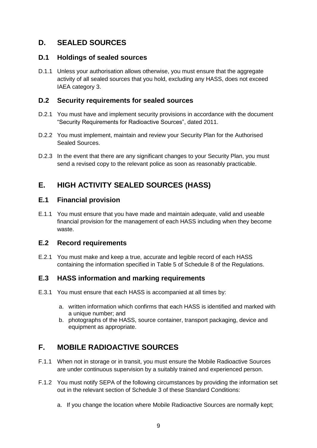### <span id="page-8-0"></span>**D. SEALED SOURCES**

#### **D.1 Holdings of sealed sources**

D.1.1 Unless your authorisation allows otherwise, you must ensure that the aggregate activity of all sealed sources that you hold, excluding any HASS, does not exceed IAEA category 3.

#### **D.2 Security requirements for sealed sources**

- D.2.1 You must have and implement security provisions in accordance with the document "Security Requirements for Radioactive Sources", dated 2011.
- D.2.2 You must implement, maintain and review your Security Plan for the Authorised Sealed Sources.
- D.2.3 In the event that there are any significant changes to your Security Plan, you must send a revised copy to the relevant police as soon as reasonably practicable.

### <span id="page-8-1"></span>**E. HIGH ACTIVITY SEALED SOURCES (HASS)**

#### **E.1 Financial provision**

E.1.1 You must ensure that you have made and maintain adequate, valid and useable financial provision for the management of each HASS including when they become waste.

#### **E.2 Record requirements**

E.2.1 You must make and keep a true, accurate and legible record of each HASS containing the information specified in Table 5 of Schedule 8 of the Regulations.

#### **E.3 HASS information and marking requirements**

- E.3.1 You must ensure that each HASS is accompanied at all times by:
	- a. written information which confirms that each HASS is identified and marked with a unique number; and
	- b. photographs of the HASS, source container, transport packaging, device and equipment as appropriate.

### <span id="page-8-2"></span>**F. MOBILE RADIOACTIVE SOURCES**

- F.1.1 When not in storage or in transit, you must ensure the Mobile Radioactive Sources are under continuous supervision by a suitably trained and experienced person.
- F.1.2 You must notify SEPA of the following circumstances by providing the information set out in the relevant section of Schedule 3 of these Standard Conditions:
	- a. If you change the location where Mobile Radioactive Sources are normally kept;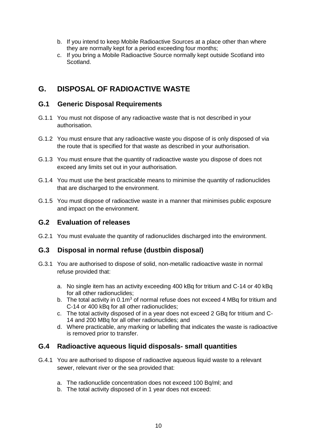- b. If you intend to keep Mobile Radioactive Sources at a place other than where they are normally kept for a period exceeding four months;
- c. If you bring a Mobile Radioactive Source normally kept outside Scotland into Scotland.

### <span id="page-9-0"></span>**G. DISPOSAL OF RADIOACTIVE WASTE**

#### **G.1 Generic Disposal Requirements**

- G.1.1 You must not dispose of any radioactive waste that is not described in your authorisation.
- G.1.2 You must ensure that any radioactive waste you dispose of is only disposed of via the route that is specified for that waste as described in your authorisation.
- G.1.3 You must ensure that the quantity of radioactive waste you dispose of does not exceed any limits set out in your authorisation.
- G.1.4 You must use the best practicable means to minimise the quantity of radionuclides that are discharged to the environment.
- G.1.5 You must dispose of radioactive waste in a manner that minimises public exposure and impact on the environment.

#### **G.2 Evaluation of releases**

G.2.1 You must evaluate the quantity of radionuclides discharged into the environment.

#### **G.3 Disposal in normal refuse (dustbin disposal)**

- G.3.1 You are authorised to dispose of solid, non-metallic radioactive waste in normal refuse provided that:
	- a. No single item has an activity exceeding 400 kBq for tritium and C-14 or 40 kBq for all other radionuclides;
	- b. The total activity in  $0.1m<sup>3</sup>$  of normal refuse does not exceed 4 MBq for tritium and C-14 or 400 kBq for all other radionuclides;
	- c. The total activity disposed of in a year does not exceed 2 GBq for tritium and C-14 and 200 MBq for all other radionuclides; and
	- d. Where practicable, any marking or labelling that indicates the waste is radioactive is removed prior to transfer.

#### **G.4 Radioactive aqueous liquid disposals- small quantities**

- G.4.1 You are authorised to dispose of radioactive aqueous liquid waste to a relevant sewer, relevant river or the sea provided that:
	- a. The radionuclide concentration does not exceed 100 Bq/ml; and
	- b. The total activity disposed of in 1 year does not exceed: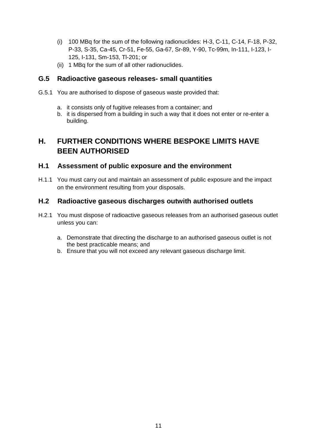- (i) 100 MBq for the sum of the following radionuclides: H-3, C-11, C-14, F-18, P-32, P-33, S-35, Ca-45, Cr-51, Fe-55, Ga-67, Sr-89, Y-90, Tc-99m, In-111, I-123, I-125, I-131, Sm-153, Tl-201; or
- (ii) 1 MBq for the sum of all other radionuclides.

#### **G.5 Radioactive gaseous releases- small quantities**

- G.5.1 You are authorised to dispose of gaseous waste provided that:
	- a. it consists only of fugitive releases from a container; and
	- b. it is dispersed from a building in such a way that it does not enter or re-enter a building.

## <span id="page-10-0"></span>**H. FURTHER CONDITIONS WHERE BESPOKE LIMITS HAVE BEEN AUTHORISED**

#### **H.1 Assessment of public exposure and the environment**

H.1.1 You must carry out and maintain an assessment of public exposure and the impact on the environment resulting from your disposals.

#### **H.2 Radioactive gaseous discharges outwith authorised outlets**

- H.2.1 You must dispose of radioactive gaseous releases from an authorised gaseous outlet unless you can:
	- a. Demonstrate that directing the discharge to an authorised gaseous outlet is not the best practicable means; and
	- b. Ensure that you will not exceed any relevant gaseous discharge limit.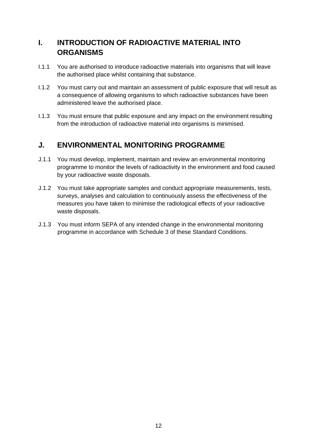## <span id="page-11-0"></span>**I. INTRODUCTION OF RADIOACTIVE MATERIAL INTO ORGANISMS**

- I.1.1 You are authorised to introduce radioactive materials into organisms that will leave the authorised place whilst containing that substance.
- I.1.2 You must carry out and maintain an assessment of public exposure that will result as a consequence of allowing organisms to which radioactive substances have been administered leave the authorised place.
- I.1.3 You must ensure that public exposure and any impact on the environment resulting from the introduction of radioactive material into organisms is minimised.

### <span id="page-11-1"></span>**J. ENVIRONMENTAL MONITORING PROGRAMME**

- J.1.1 You must develop, implement, maintain and review an environmental monitoring programme to monitor the levels of radioactivity in the environment and food caused by your radioactive waste disposals.
- J.1.2 You must take appropriate samples and conduct appropriate measurements, tests, surveys, analyses and calculation to continuously assess the effectiveness of the measures you have taken to minimise the radiological effects of your radioactive waste disposals.
- J.1.3 You must inform SEPA of any intended change in the environmental monitoring programme in accordance with Schedule 3 of these Standard Conditions.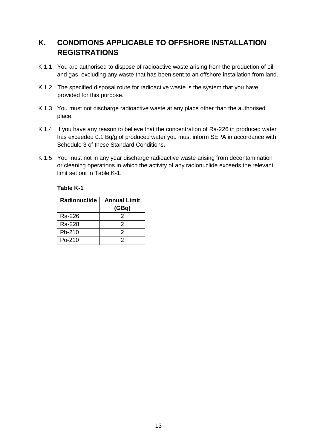## <span id="page-12-0"></span>**K. CONDITIONS APPLICABLE TO OFFSHORE INSTALLATION REGISTRATIONS**

- K.1.1 You are authorised to dispose of radioactive waste arising from the production of oil and gas, excluding any waste that has been sent to an offshore installation from land.
- K.1.2 The specified disposal route for radioactive waste is the system that you have provided for this purpose.
- K.1.3 You must not discharge radioactive waste at any place other than the authorised place.
- K.1.4 If you have any reason to believe that the concentration of Ra-226 in produced water has exceeded 0.1 Bq/g of produced water you must inform SEPA in accordance with Schedule 3 of these Standard Conditions.
- K.1.5 You must not in any year discharge radioactive waste arising from decontamination or cleaning operations in which the activity of any radionuclide exceeds the relevant limit set out in [Table K-](#page-12-1)1.

#### <span id="page-12-1"></span>**Table K-1**

| Radionuclide | <b>Annual Limit</b> |  |
|--------------|---------------------|--|
|              | (GBq)               |  |
| Ra-226       | 2                   |  |
| Ra-228       | 2                   |  |
| Pb-210       | 2                   |  |
| $Po-210$     |                     |  |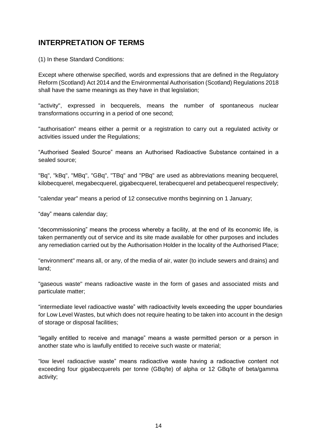### <span id="page-13-0"></span>**INTERPRETATION OF TERMS**

(1) In these Standard Conditions:

Except where otherwise specified, words and expressions that are defined in the Regulatory Reform (Scotland) Act 2014 and the Environmental Authorisation (Scotland) Regulations 2018 shall have the same meanings as they have in that legislation;

"activity", expressed in becquerels, means the number of spontaneous nuclear transformations occurring in a period of one second;

"authorisation" means either a permit or a registration to carry out a regulated activity or activities issued under the Regulations;

"Authorised Sealed Source" means an Authorised Radioactive Substance contained in a sealed source;

"Bq", "kBq", "MBq", "GBq", "TBq" and "PBq" are used as abbreviations meaning becquerel, kilobecquerel, megabecquerel, gigabecquerel, terabecquerel and petabecquerel respectively;

"calendar year" means a period of 12 consecutive months beginning on 1 January;

"day" means calendar day;

"decommissioning" means the process whereby a facility, at the end of its economic life, is taken permanently out of service and its site made available for other purposes and includes any remediation carried out by the Authorisation Holder in the locality of the Authorised Place;

"environment" means all, or any, of the media of air, water (to include sewers and drains) and land;

"gaseous waste" means radioactive waste in the form of gases and associated mists and particulate matter;

"intermediate level radioactive waste" with radioactivity levels exceeding the upper boundaries for Low Level Wastes, but which does not require heating to be taken into account in the design of storage or disposal facilities;

"legally entitled to receive and manage" means a waste permitted person or a person in another state who is lawfully entitled to receive such waste or material;

"low level radioactive waste" means radioactive waste having a radioactive content not exceeding four gigabecquerels per tonne (GBq/te) of alpha or 12 GBq/te of beta/gamma activity;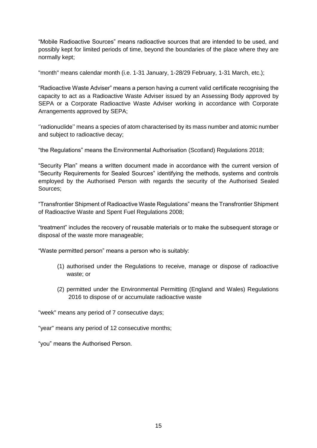"Mobile Radioactive Sources" means radioactive sources that are intended to be used, and possibly kept for limited periods of time, beyond the boundaries of the place where they are normally kept;

"month" means calendar month (i.e. 1-31 January, 1-28/29 February, 1-31 March, etc.);

"Radioactive Waste Adviser" means a person having a current valid certificate recognising the capacity to act as a Radioactive Waste Adviser issued by an Assessing Body approved by SEPA or a Corporate Radioactive Waste Adviser working in accordance with Corporate Arrangements approved by SEPA;

''radionuclide'' means a species of atom characterised by its mass number and atomic number and subject to radioactive decay;

"the Regulations" means the Environmental Authorisation (Scotland) Regulations 2018;

"Security Plan" means a written document made in accordance with the current version of "Security Requirements for Sealed Sources" identifying the methods, systems and controls employed by the Authorised Person with regards the security of the Authorised Sealed Sources;

"Transfrontier Shipment of Radioactive Waste Regulations" means the Transfrontier Shipment of Radioactive Waste and Spent Fuel Regulations 2008;

"treatment" includes the recovery of reusable materials or to make the subsequent storage or disposal of the waste more manageable;

"Waste permitted person" means a person who is suitably:

- (1) authorised under the Regulations to receive, manage or dispose of radioactive waste; or
- (2) permitted under the Environmental Permitting (England and Wales) Regulations 2016 to dispose of or accumulate radioactive waste

"week" means any period of 7 consecutive days;

"year" means any period of 12 consecutive months;

"you" means the Authorised Person.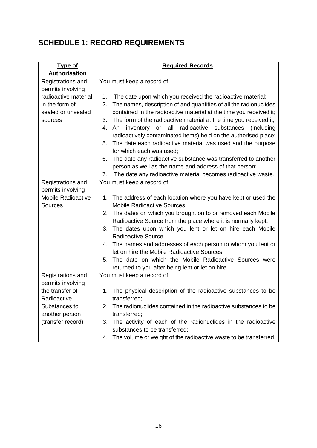# <span id="page-15-0"></span>**SCHEDULE 1: RECORD REQUIREMENTS**

| <b>Type of</b>            | <b>Required Records</b>                                                 |  |  |  |
|---------------------------|-------------------------------------------------------------------------|--|--|--|
| <b>Authorisation</b>      |                                                                         |  |  |  |
| Registrations and         | You must keep a record of:                                              |  |  |  |
| permits involving         |                                                                         |  |  |  |
| radioactive material      | The date upon which you received the radioactive material;<br>1.        |  |  |  |
| in the form of            | The names, description of and quantities of all the radionuclides<br>2. |  |  |  |
| sealed or unsealed        | contained in the radioactive material at the time you received it;      |  |  |  |
| sources                   | 3. The form of the radioactive material at the time you received it;    |  |  |  |
|                           | An inventory or all radioactive substances<br><i>(including)</i><br>4.  |  |  |  |
|                           | radioactively contaminated items) held on the authorised place;         |  |  |  |
|                           | The date each radioactive material was used and the purpose<br>5.       |  |  |  |
|                           | for which each was used;                                                |  |  |  |
|                           | 6. The date any radioactive substance was transferred to another        |  |  |  |
|                           | person as well as the name and address of that person;                  |  |  |  |
|                           | The date any radioactive material becomes radioactive waste.<br>7.      |  |  |  |
| Registrations and         | You must keep a record of:                                              |  |  |  |
| permits involving         |                                                                         |  |  |  |
| <b>Mobile Radioactive</b> | The address of each location where you have kept or used the<br>1.      |  |  |  |
| Sources                   | <b>Mobile Radioactive Sources;</b>                                      |  |  |  |
|                           | 2. The dates on which you brought on to or removed each Mobile          |  |  |  |
|                           | Radioactive Source from the place where it is normally kept;            |  |  |  |
|                           | 3. The dates upon which you lent or let on hire each Mobile             |  |  |  |
|                           | Radioactive Source;                                                     |  |  |  |
|                           | 4. The names and addresses of each person to whom you lent or           |  |  |  |
|                           | let on hire the Mobile Radioactive Sources;                             |  |  |  |
|                           | 5. The date on which the Mobile Radioactive Sources were                |  |  |  |
|                           | returned to you after being lent or let on hire.                        |  |  |  |
| Registrations and         | You must keep a record of:                                              |  |  |  |
| permits involving         |                                                                         |  |  |  |
| the transfer of           | 1. The physical description of the radioactive substances to be         |  |  |  |
| Radioactive               | transferred;                                                            |  |  |  |
| Substances to             | The radionuclides contained in the radioactive substances to be<br>2.   |  |  |  |
| another person            | transferred;                                                            |  |  |  |
| (transfer record)         | The activity of each of the radionuclides in the radioactive<br>3.      |  |  |  |
|                           | substances to be transferred;                                           |  |  |  |
|                           | The volume or weight of the radioactive waste to be transferred.<br>4.  |  |  |  |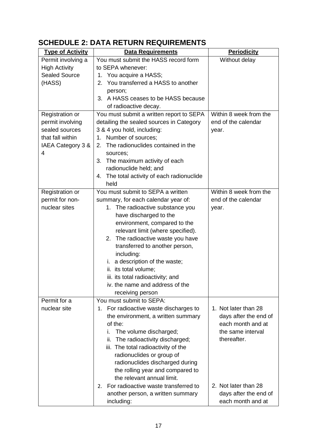# <span id="page-16-0"></span>**SCHEDULE 2: DATA RETURN REQUIREMENTS**

| <b>Type of Activity</b> | <b>Data Requirements</b>                   | <b>Periodicity</b>     |
|-------------------------|--------------------------------------------|------------------------|
| Permit involving a      | You must submit the HASS record form       | Without delay          |
| <b>High Activity</b>    | to SEPA whenever:                          |                        |
| <b>Sealed Source</b>    | 1. You acquire a HASS;                     |                        |
| (HASS)                  | 2. You transferred a HASS to another       |                        |
|                         | person;                                    |                        |
|                         | 3. A HASS ceases to be HASS because        |                        |
|                         | of radioactive decay.                      |                        |
| Registration or         | You must submit a written report to SEPA   | Within 8 week from the |
| permit involving        | detailing the sealed sources in Category   | end of the calendar    |
| sealed sources          | 3 & 4 you hold, including:                 | year.                  |
| that fall within        | 1. Number of sources;                      |                        |
| IAEA Category 3 &       | 2. The radionuclides contained in the      |                        |
| 4                       | sources;                                   |                        |
|                         | 3. The maximum activity of each            |                        |
|                         | radionuclide held; and                     |                        |
|                         | 4. The total activity of each radionuclide |                        |
|                         | held                                       |                        |
| Registration or         | You must submit to SEPA a written          | Within 8 week from the |
| permit for non-         | summary, for each calendar year of:        | end of the calendar    |
| nuclear sites           | 1. The radioactive substance you           | year.                  |
|                         | have discharged to the                     |                        |
|                         | environment, compared to the               |                        |
|                         | relevant limit (where specified).          |                        |
|                         | 2. The radioactive waste you have          |                        |
|                         | transferred to another person,             |                        |
|                         | including:                                 |                        |
|                         | a description of the waste;<br>i.          |                        |
|                         | ii. its total volume;                      |                        |
|                         | iii. its total radioactivity; and          |                        |
|                         | iv. the name and address of the            |                        |
|                         | receiving person                           |                        |
| Permit for a            | You must submit to SEPA:                   |                        |
| nuclear site            | 1. For radioactive waste discharges to     | 1. Not later than 28   |
|                         | the environment, a written summary         | days after the end of  |
|                         | of the:                                    | each month and at      |
|                         | The volume discharged;<br>i.               | the same interval      |
|                         | The radioactivity discharged;<br>ii.       | thereafter.            |
|                         | iii. The total radioactivity of the        |                        |
|                         | radionuclides or group of                  |                        |
|                         | radionuclides discharged during            |                        |
|                         | the rolling year and compared to           |                        |
|                         | the relevant annual limit.                 |                        |
|                         | For radioactive waste transferred to<br>2. | 2. Not later than 28   |
|                         | another person, a written summary          | days after the end of  |
|                         | including:                                 | each month and at      |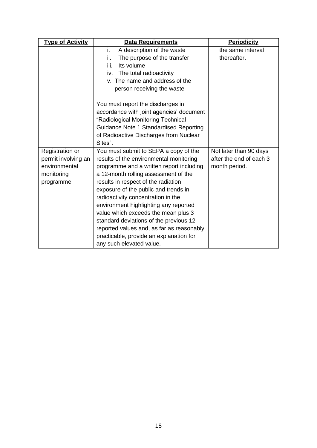| <b>Type of Activity</b>        | Data Requirements                         | <b>Periodicity</b>      |  |
|--------------------------------|-------------------------------------------|-------------------------|--|
|                                | i.<br>A description of the waste          | the same interval       |  |
|                                | ii.<br>The purpose of the transfer        | thereafter.             |  |
|                                | iii.<br>Its volume                        |                         |  |
|                                | The total radioactivity<br>iv.            |                         |  |
| v. The name and address of the |                                           |                         |  |
| person receiving the waste     |                                           |                         |  |
|                                |                                           |                         |  |
|                                | accordance with joint agencies' document  |                         |  |
|                                | "Radiological Monitoring Technical        |                         |  |
|                                | Guidance Note 1 Standardised Reporting    |                         |  |
|                                |                                           |                         |  |
|                                | Sites".                                   |                         |  |
| Registration or                | You must submit to SEPA a copy of the     |                         |  |
| permit involving an            | results of the environmental monitoring   | after the end of each 3 |  |
| environmental                  | programme and a written report including  | month period.           |  |
| monitoring                     | a 12-month rolling assessment of the      |                         |  |
| programme                      | results in respect of the radiation       |                         |  |
|                                | exposure of the public and trends in      |                         |  |
|                                | radioactivity concentration in the        |                         |  |
|                                | environment highlighting any reported     |                         |  |
|                                | value which exceeds the mean plus 3       |                         |  |
|                                | standard deviations of the previous 12    |                         |  |
|                                | reported values and, as far as reasonably |                         |  |
|                                | practicable, provide an explanation for   |                         |  |
|                                | any such elevated value.                  |                         |  |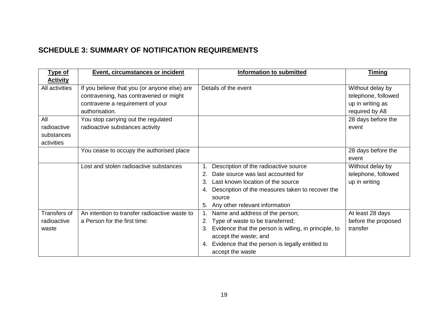## **SCHEDULE 3: SUMMARY OF NOTIFICATION REQUIREMENTS**

<span id="page-18-0"></span>

| <b>Type of</b>  | <b>Event, circumstances or incident</b>       | <b>Information to submitted</b>                       | <u>Timing</u>       |
|-----------------|-----------------------------------------------|-------------------------------------------------------|---------------------|
| <b>Activity</b> |                                               |                                                       |                     |
| All activities  | If you believe that you (or anyone else) are  | Details of the event                                  | Without delay by    |
|                 | contravening, has contravened or might        |                                                       | telephone, followed |
|                 | contravene a requirement of your              |                                                       | up in writing as    |
|                 | authorisation.                                |                                                       | required by A8      |
| All             | You stop carrying out the regulated           |                                                       | 28 days before the  |
| radioactive     | radioactive substances activity               |                                                       | event               |
| substances      |                                               |                                                       |                     |
| activities      |                                               |                                                       |                     |
|                 | You cease to occupy the authorised place      |                                                       | 28 days before the  |
|                 |                                               |                                                       | event               |
|                 | Lost and stolen radioactive substances        | Description of the radioactive source                 | Without delay by    |
|                 |                                               | Date source was last accounted for<br>2.              | telephone, followed |
|                 |                                               | 3.<br>Last known location of the source               | up in writing       |
|                 |                                               | 4. Description of the measures taken to recover the   |                     |
|                 |                                               | source                                                |                     |
|                 |                                               | Any other relevant information<br>5.                  |                     |
| Transfers of    | An intention to transfer radioactive waste to | Name and address of the person;                       | At least 28 days    |
| radioactive     | a Person for the first time:                  | Type of waste to be transferred;<br>2.                | before the proposed |
| waste           |                                               | Evidence that the person is willing, in principle, to | transfer            |
|                 |                                               | accept the waste; and                                 |                     |
|                 |                                               | 4. Evidence that the person is legally entitled to    |                     |
|                 |                                               | accept the waste                                      |                     |